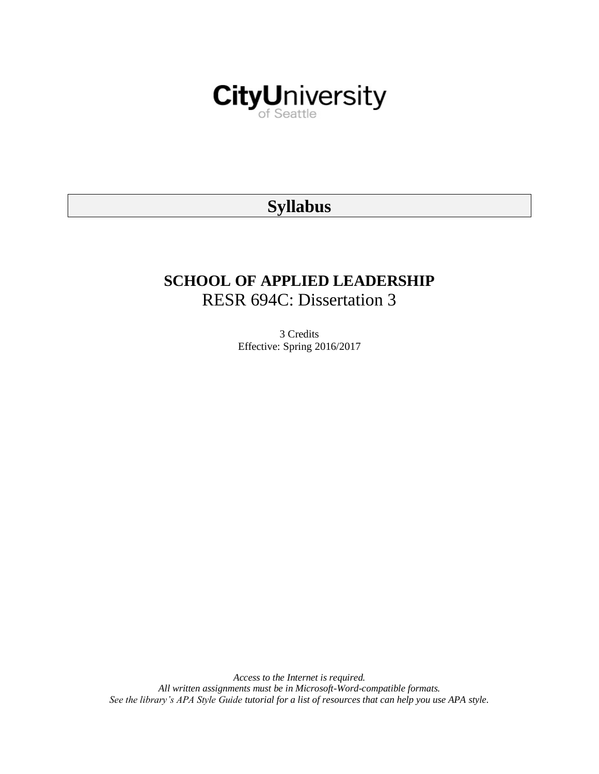

# **Syllabus**

# **SCHOOL OF APPLIED LEADERSHIP** RESR 694C: Dissertation 3

3 Credits Effective: Spring 2016/2017

*Access to the Internet is required. All written assignments must be in Microsoft-Word-compatible formats. See the library's APA Style Guide tutorial for a list of resources that can help you use APA style.*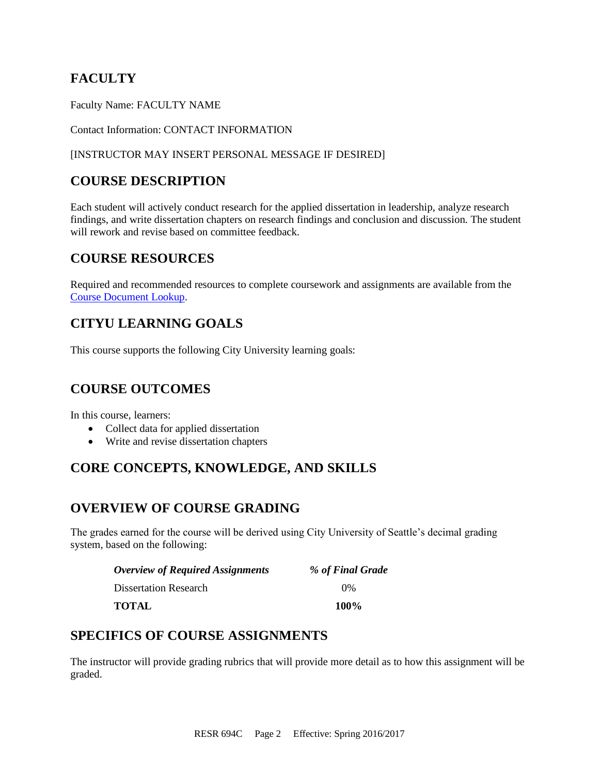# **FACULTY**

Faculty Name: FACULTY NAME

Contact Information: CONTACT INFORMATION

### [INSTRUCTOR MAY INSERT PERSONAL MESSAGE IF DESIRED]

## **COURSE DESCRIPTION**

Each student will actively conduct research for the applied dissertation in leadership, analyze research findings, and write dissertation chapters on research findings and conclusion and discussion. The student will rework and revise based on committee feedback.

### **COURSE RESOURCES**

Required and recommended resources to complete coursework and assignments are available from the [Course Document Lookup.](https://documents.cityu.edu/coursedocumentlookup.aspx)

# **CITYU LEARNING GOALS**

This course supports the following City University learning goals:

## **COURSE OUTCOMES**

In this course, learners:

- Collect data for applied dissertation
- Write and revise dissertation chapters

# **CORE CONCEPTS, KNOWLEDGE, AND SKILLS**

### **OVERVIEW OF COURSE GRADING**

The grades earned for the course will be derived using City University of Seattle's decimal grading system, based on the following:

| <b>Overview of Required Assignments</b> | % of Final Grade |
|-----------------------------------------|------------------|
| <b>Dissertation Research</b>            | $0\%$            |
| <b>TOTAL</b>                            | <b>100%</b>      |

### **SPECIFICS OF COURSE ASSIGNMENTS**

The instructor will provide grading rubrics that will provide more detail as to how this assignment will be graded.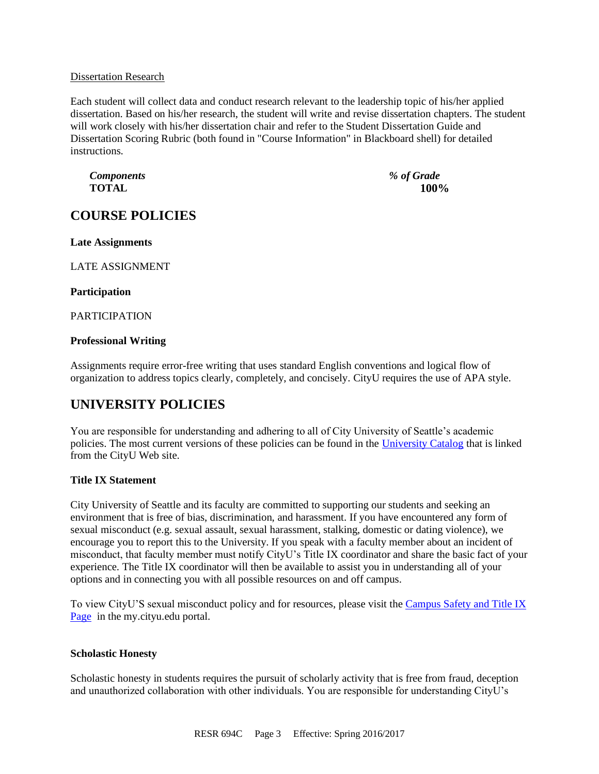#### Dissertation Research

Each student will collect data and conduct research relevant to the leadership topic of his/her applied dissertation. Based on his/her research, the student will write and revise dissertation chapters. The student will work closely with his/her dissertation chair and refer to the Student Dissertation Guide and Dissertation Scoring Rubric (both found in "Course Information" in Blackboard shell) for detailed instructions.

*Components % of Grade* **TOTAL 100%**

# **COURSE POLICIES**

**Late Assignments**

LATE ASSIGNMENT

#### **Participation**

PARTICIPATION

### **Professional Writing**

Assignments require error-free writing that uses standard English conventions and logical flow of organization to address topics clearly, completely, and concisely. CityU requires the use of APA style.

### **UNIVERSITY POLICIES**

You are responsible for understanding and adhering to all of City University of Seattle's academic policies. The most current versions of these policies can be found in the [University Catalog](http://www.cityu.edu/catalog/) that is linked from the CityU Web site.

### **Title IX Statement**

City University of Seattle and its faculty are committed to supporting our students and seeking an environment that is free of bias, discrimination, and harassment. If you have encountered any form of sexual misconduct (e.g. sexual assault, sexual harassment, stalking, domestic or dating violence), we encourage you to report this to the University. If you speak with a faculty member about an incident of misconduct, that faculty member must notify CityU's Title IX coordinator and share the basic fact of your experience. The Title IX coordinator will then be available to assist you in understanding all of your options and in connecting you with all possible resources on and off campus.

To view CityU'S sexual misconduct policy and for resources, please visit the [Campus Safety and Title IX](https://goo.gl/NJVVvh)  [Page](https://goo.gl/NJVVvh) in the my.cityu.edu portal.

### **Scholastic Honesty**

Scholastic honesty in students requires the pursuit of scholarly activity that is free from fraud, deception and unauthorized collaboration with other individuals. You are responsible for understanding CityU's